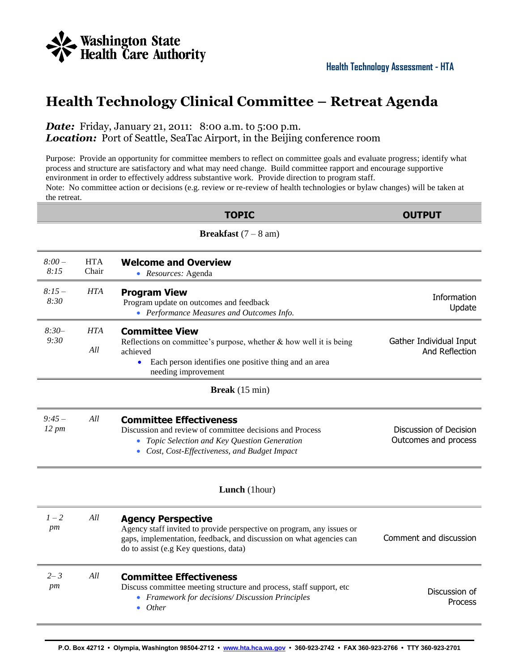

## **Health Technology Clinical Committee – Retreat Agenda**

## *Date:* Friday, January 21, 2011: 8:00 a.m. to 5:00 p.m. **Location:** Port of Seattle, SeaTac Airport, in the Beijing conference room

Purpose: Provide an opportunity for committee members to reflect on committee goals and evaluate progress; identify what process and structure are satisfactory and what may need change. Build committee rapport and encourage supportive environment in order to effectively address substantive work. Provide direction to program staff.

Note: No committee action or decisions (e.g. review or re-review of health technologies or bylaw changes) will be taken at the retreat.

|                       |                     | <b>TOPIC</b>                                                                                                                                                                                                        | <b>OUTPUT</b>                                  |
|-----------------------|---------------------|---------------------------------------------------------------------------------------------------------------------------------------------------------------------------------------------------------------------|------------------------------------------------|
|                       |                     | <b>Breakfast</b> $(7 - 8$ am)                                                                                                                                                                                       |                                                |
| $8:00-$<br>8:15       | <b>HTA</b><br>Chair | <b>Welcome and Overview</b><br>• Resources: Agenda                                                                                                                                                                  |                                                |
| $8:15-$<br>8:30       | <b>HTA</b>          | <b>Program View</b><br>Program update on outcomes and feedback<br>• Performance Measures and Outcomes Info.                                                                                                         | Information<br>Update                          |
| $8:30-$<br>9:30       | <b>HTA</b><br>All   | <b>Committee View</b><br>Reflections on committee's purpose, whether $&$ how well it is being<br>achieved<br>Each person identifies one positive thing and an area<br>$\bullet$<br>needing improvement              | Gather Individual Input<br>And Reflection      |
|                       |                     | Break (15 min)                                                                                                                                                                                                      |                                                |
| $9:45-$<br>$12 \, pm$ | All                 | <b>Committee Effectiveness</b><br>Discussion and review of committee decisions and Process<br>• Topic Selection and Key Question Generation<br>• Cost, Cost-Effectiveness, and Budget Impact                        | Discussion of Decision<br>Outcomes and process |
|                       |                     | Lunch (1hour)                                                                                                                                                                                                       |                                                |
| $1 - 2$<br>pm         | All                 | <b>Agency Perspective</b><br>Agency staff invited to provide perspective on program, any issues or<br>gaps, implementation, feedback, and discussion on what agencies can<br>do to assist (e.g Key questions, data) | Comment and discussion                         |
| $2 - 3$<br>pm         | All                 | <b>Committee Effectiveness</b><br>Discuss committee meeting structure and process, staff support, etc<br>• Framework for decisions/ Discussion Principles<br>$\bullet$ Other                                        | Discussion of<br><b>Process</b>                |
|                       |                     |                                                                                                                                                                                                                     |                                                |